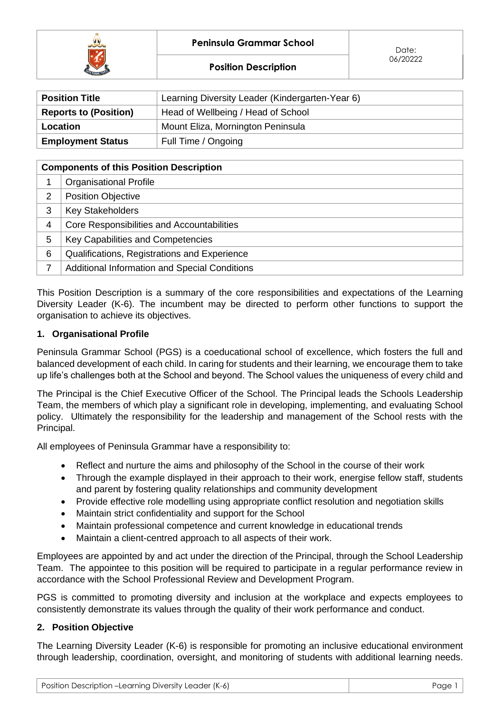



| <b>Position Title</b>        | Learning Diversity Leader (Kindergarten-Year 6) |  |
|------------------------------|-------------------------------------------------|--|
| <b>Reports to (Position)</b> | Head of Wellbeing / Head of School              |  |
| Location                     | Mount Eliza, Mornington Peninsula               |  |
| <b>Employment Status</b>     | Full Time / Ongoing                             |  |

| <b>Components of this Position Description</b> |                                               |  |  |  |
|------------------------------------------------|-----------------------------------------------|--|--|--|
|                                                | <b>Organisational Profile</b>                 |  |  |  |
| 2                                              | <b>Position Objective</b>                     |  |  |  |
| 3                                              | <b>Key Stakeholders</b>                       |  |  |  |
| 4                                              | Core Responsibilities and Accountabilities    |  |  |  |
| 5                                              | Key Capabilities and Competencies             |  |  |  |
| 6                                              | Qualifications, Registrations and Experience  |  |  |  |
| 7                                              | Additional Information and Special Conditions |  |  |  |

This Position Description is a summary of the core responsibilities and expectations of the Learning Diversity Leader (K-6). The incumbent may be directed to perform other functions to support the organisation to achieve its objectives.

# **1. Organisational Profile**

Peninsula Grammar School (PGS) is a coeducational school of excellence, which fosters the full and balanced development of each child. In caring for students and their learning, we encourage them to take up life's challenges both at the School and beyond. The School values the uniqueness of every child and

The Principal is the Chief Executive Officer of the School. The Principal leads the Schools Leadership Team, the members of which play a significant role in developing, implementing, and evaluating School policy. Ultimately the responsibility for the leadership and management of the School rests with the Principal.

All employees of Peninsula Grammar have a responsibility to:

- Reflect and nurture the aims and philosophy of the School in the course of their work
- Through the example displayed in their approach to their work, energise fellow staff, students and parent by fostering quality relationships and community development
- Provide effective role modelling using appropriate conflict resolution and negotiation skills
- Maintain strict confidentiality and support for the School
- Maintain professional competence and current knowledge in educational trends
- Maintain a client-centred approach to all aspects of their work.

Employees are appointed by and act under the direction of the Principal, through the School Leadership Team. The appointee to this position will be required to participate in a regular performance review in accordance with the School Professional Review and Development Program.

PGS is committed to promoting diversity and inclusion at the workplace and expects employees to consistently demonstrate its values through the quality of their work performance and conduct.

#### **2. Position Objective**

The Learning Diversity Leader (K-6) is responsible for promoting an inclusive educational environment through leadership, coordination, oversight, and monitoring of students with additional learning needs.

| Position Description -Learning Diversity Leader (K-6) | Page 1 |
|-------------------------------------------------------|--------|
|-------------------------------------------------------|--------|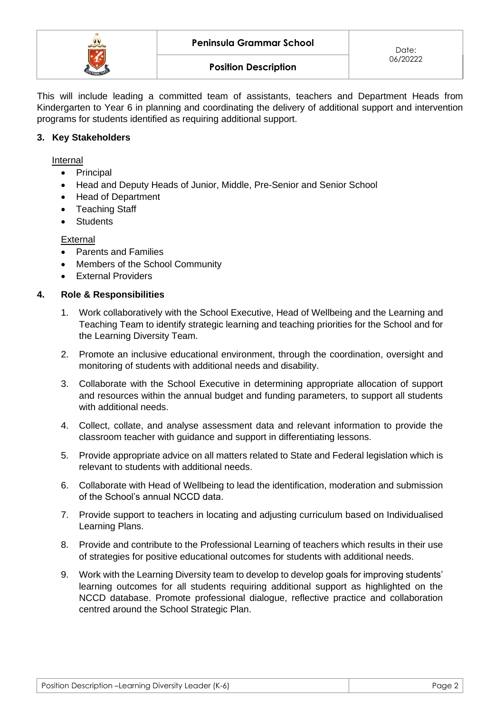

This will include leading a committed team of assistants, teachers and Department Heads from Kindergarten to Year 6 in planning and coordinating the delivery of additional support and intervention programs for students identified as requiring additional support.

### **3. Key Stakeholders**

Internal

- Principal
- Head and Deputy Heads of Junior, Middle, Pre-Senior and Senior School
- Head of Department
- Teaching Staff
- Students

**External** 

- Parents and Families
- Members of the School Community
- External Providers

#### **4. Role & Responsibilities**

- 1. Work collaboratively with the School Executive, Head of Wellbeing and the Learning and Teaching Team to identify strategic learning and teaching priorities for the School and for the Learning Diversity Team.
- 2. Promote an inclusive educational environment, through the coordination, oversight and monitoring of students with additional needs and disability.
- 3. Collaborate with the School Executive in determining appropriate allocation of support and resources within the annual budget and funding parameters, to support all students with additional needs.
- 4. Collect, collate, and analyse assessment data and relevant information to provide the classroom teacher with guidance and support in differentiating lessons.
- 5. Provide appropriate advice on all matters related to State and Federal legislation which is relevant to students with additional needs.
- 6. Collaborate with Head of Wellbeing to lead the identification, moderation and submission of the School's annual NCCD data.
- 7. Provide support to teachers in locating and adjusting curriculum based on Individualised Learning Plans.
- 8. Provide and contribute to the Professional Learning of teachers which results in their use of strategies for positive educational outcomes for students with additional needs.
- 9. Work with the Learning Diversity team to develop to develop goals for improving students' learning outcomes for all students requiring additional support as highlighted on the NCCD database. Promote professional dialogue, reflective practice and collaboration centred around the School Strategic Plan.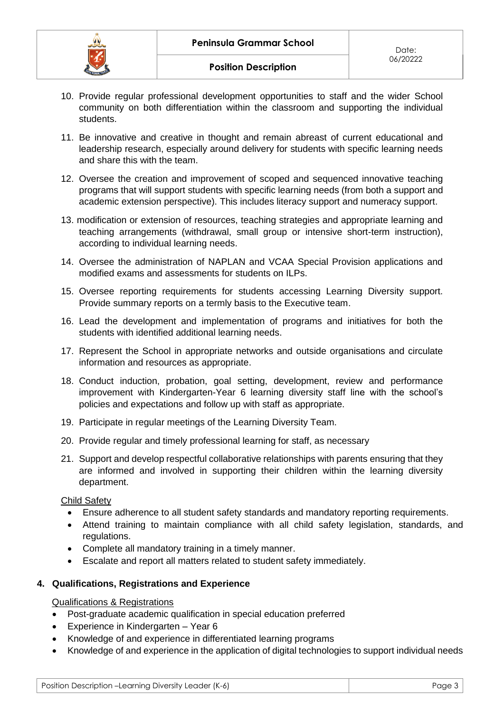- 10. Provide regular professional development opportunities to staff and the wider School community on both differentiation within the classroom and supporting the individual students.
- 11. Be innovative and creative in thought and remain abreast of current educational and leadership research, especially around delivery for students with specific learning needs and share this with the team.
- 12. Oversee the creation and improvement of scoped and sequenced innovative teaching programs that will support students with specific learning needs (from both a support and academic extension perspective). This includes literacy support and numeracy support.
- 13. modification or extension of resources, teaching strategies and appropriate learning and teaching arrangements (withdrawal, small group or intensive short-term instruction), according to individual learning needs.
- 14. Oversee the administration of NAPLAN and VCAA Special Provision applications and modified exams and assessments for students on ILPs.
- 15. Oversee reporting requirements for students accessing Learning Diversity support. Provide summary reports on a termly basis to the Executive team.
- 16. Lead the development and implementation of programs and initiatives for both the students with identified additional learning needs.
- 17. Represent the School in appropriate networks and outside organisations and circulate information and resources as appropriate.
- 18. Conduct induction, probation, goal setting, development, review and performance improvement with Kindergarten-Year 6 learning diversity staff line with the school's policies and expectations and follow up with staff as appropriate.
- 19. Participate in regular meetings of the Learning Diversity Team.
- 20. Provide regular and timely professional learning for staff, as necessary
- 21. Support and develop respectful collaborative relationships with parents ensuring that they are informed and involved in supporting their children within the learning diversity department.

# Child Safety

- Ensure adherence to all student safety standards and mandatory reporting requirements.
- Attend training to maintain compliance with all child safety legislation, standards, and regulations.
- Complete all mandatory training in a timely manner.
- Escalate and report all matters related to student safety immediately.

# **4. Qualifications, Registrations and Experience**

#### Qualifications & Registrations

- Post-graduate academic qualification in special education preferred
- Experience in Kindergarten Year 6
- Knowledge of and experience in differentiated learning programs
- Knowledge of and experience in the application of digital technologies to support individual needs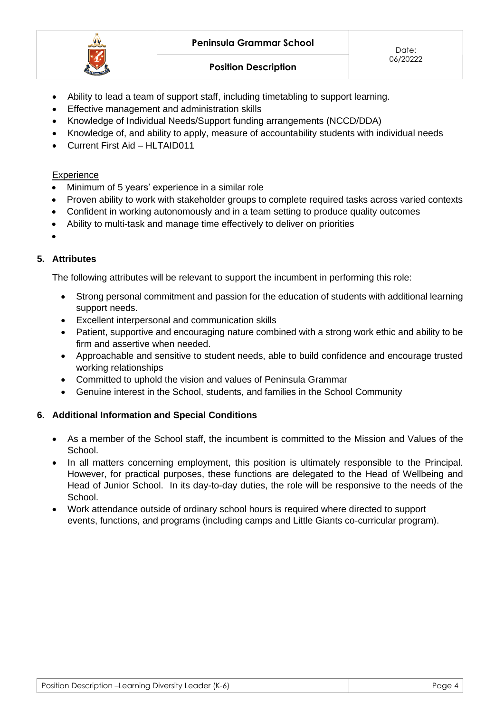

- Ability to lead a team of support staff, including timetabling to support learning.
- Effective management and administration skills
- Knowledge of Individual Needs/Support funding arrangements (NCCD/DDA)
- Knowledge of, and ability to apply, measure of accountability students with individual needs
- Current First Aid HLTAID011

## **Experience**

- Minimum of 5 years' experience in a similar role
- Proven ability to work with stakeholder groups to complete required tasks across varied contexts
- Confident in working autonomously and in a team setting to produce quality outcomes
- Ability to multi-task and manage time effectively to deliver on priorities

# •

## **5. Attributes**

The following attributes will be relevant to support the incumbent in performing this role:

- Strong personal commitment and passion for the education of students with additional learning support needs.
- Excellent interpersonal and communication skills
- Patient, supportive and encouraging nature combined with a strong work ethic and ability to be firm and assertive when needed.
- Approachable and sensitive to student needs, able to build confidence and encourage trusted working relationships
- Committed to uphold the vision and values of Peninsula Grammar
- Genuine interest in the School, students, and families in the School Community

# **6. Additional Information and Special Conditions**

- As a member of the School staff, the incumbent is committed to the Mission and Values of the School.
- In all matters concerning employment, this position is ultimately responsible to the Principal. However, for practical purposes, these functions are delegated to the Head of Wellbeing and Head of Junior School. In its day-to-day duties, the role will be responsive to the needs of the School.
- Work attendance outside of ordinary school hours is required where directed to support events, functions, and programs (including camps and Little Giants co-curricular program).